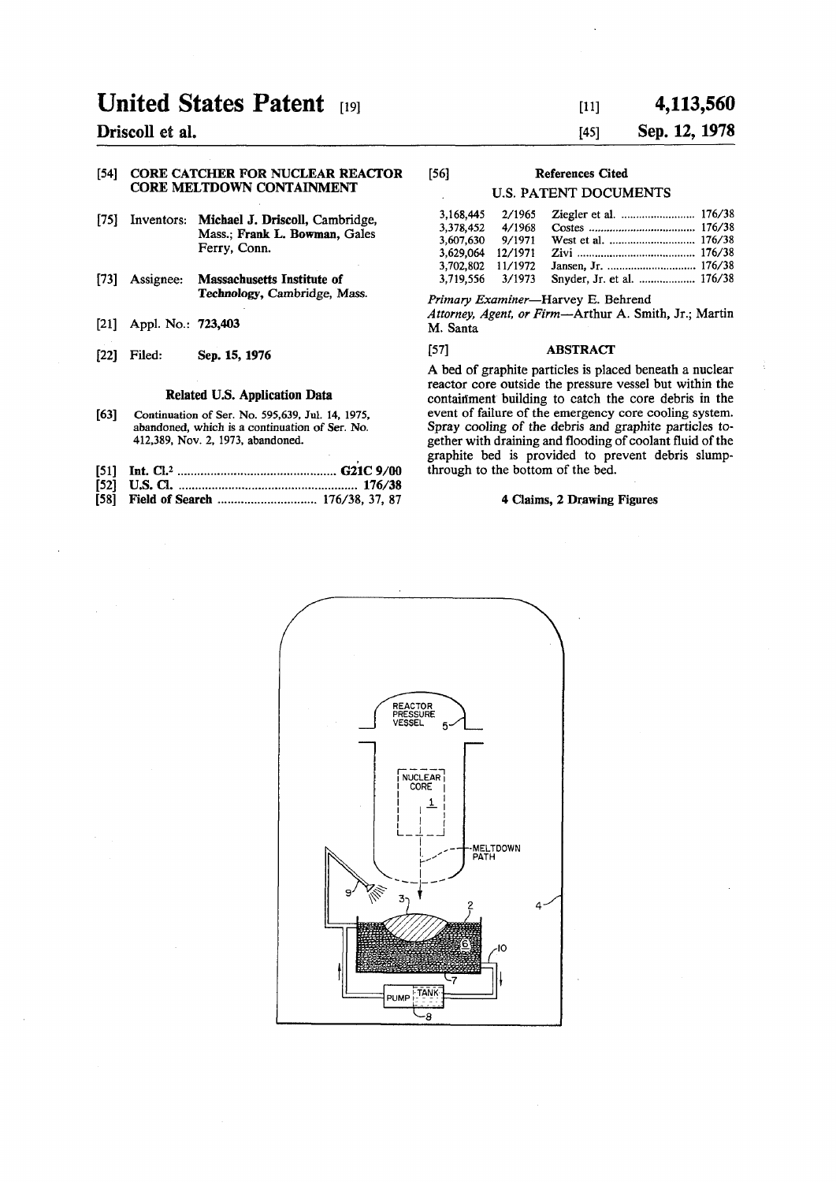# **United States Patent [19]**

### **Driscoll et al.**

### **[54] CORE CATCHER FOR NUCLEAR REACTOR CORE MELTDOWN CONTAINMENT**

- **[75] Inventors: Michael J. Driscoll, Cambridge, Mass.; Frank L. Bowman, Gales Ferry, Conn.**
- **[73] Assignee: Massachusetts Institute of Technology, Cambridge, Mass.**
- **[21] Appl. No.: 723,403**
- **[22] Filed: Sep. 15, 1976**

#### **Related U.S. Application Data**

- **[63]** Continuation of Ser. No. 595,639, Jul. 14, 1975, abandoned, which is a continuation of Ser. No. 412,389, Nov. 2, 1973, abandoned.
- **[51] Int. C1.2 G21C 9/00**
- **[52] U.S. Q 176/38**  [58] Field of Search ................................. 176/38, 37, 87

## **[ii] 4,113,560**

### **[45] Sep. 12,1978**

### **[56] References Cited**

### **U.S. PATENT DOCUMENTS**

| 3.168.445 | 2/1965  |  |
|-----------|---------|--|
| 3.378.452 | 4/1968  |  |
| 3.607.630 | 9/1971  |  |
| 3.629.064 | 12/1971 |  |
| 3,702,802 | 11/1972 |  |
| 3.719.556 | 3/1973  |  |
|           |         |  |

*Primary Examiner*—Harvey E. Behrend *Attorney, Agent, or Firm***—Arthur A. Smith, Jr.; Martin** 

### **M. Santa**

### **[57] ABSTRACT**

**A bed of graphite particles is placed beneath a nuclear reactor core outside the pressure vessel but within the contaiflment building to catch the core debris in the event of failure of the emergency core cooling system. Spray cooling of the debris and graphite particles together with draining and flooding of coolant fluid of the graphite bed is provided to prevent debris slumpthrough to the bottom of the bed.** 

### **4 Claims, 2 Drawing Figures**

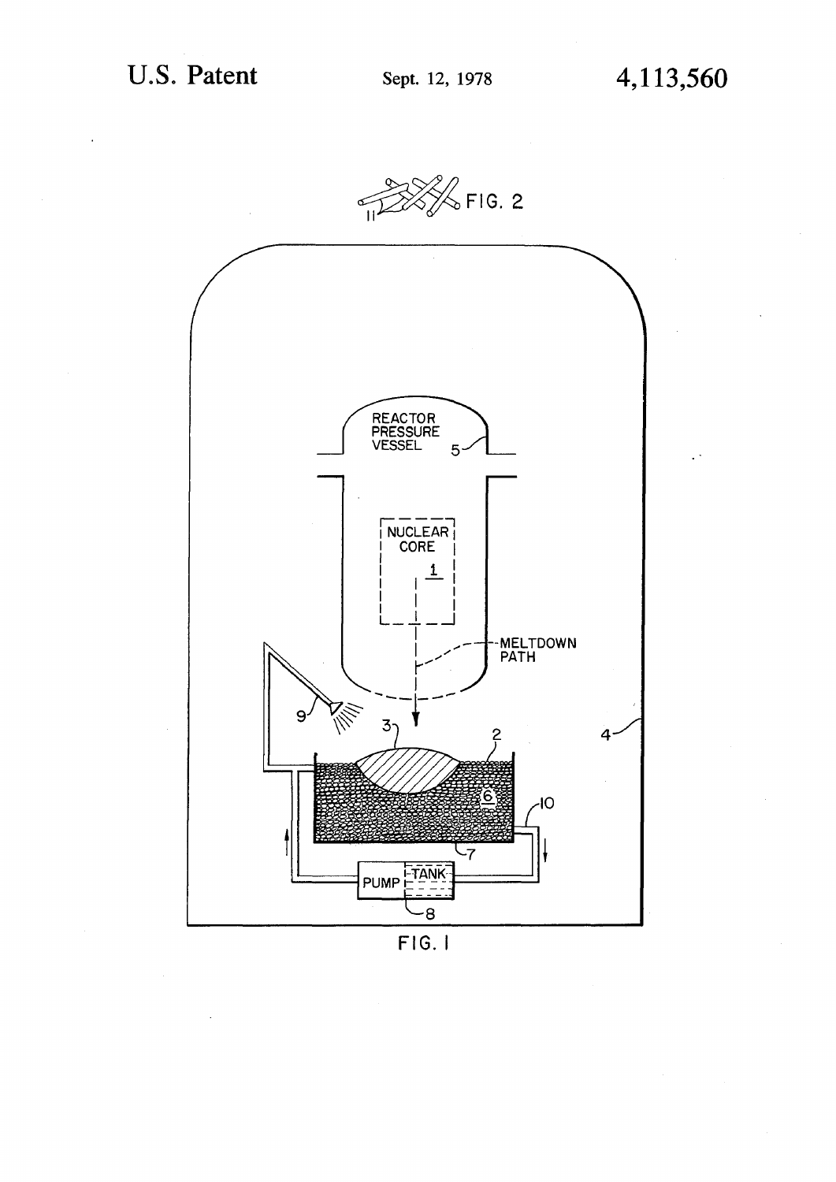

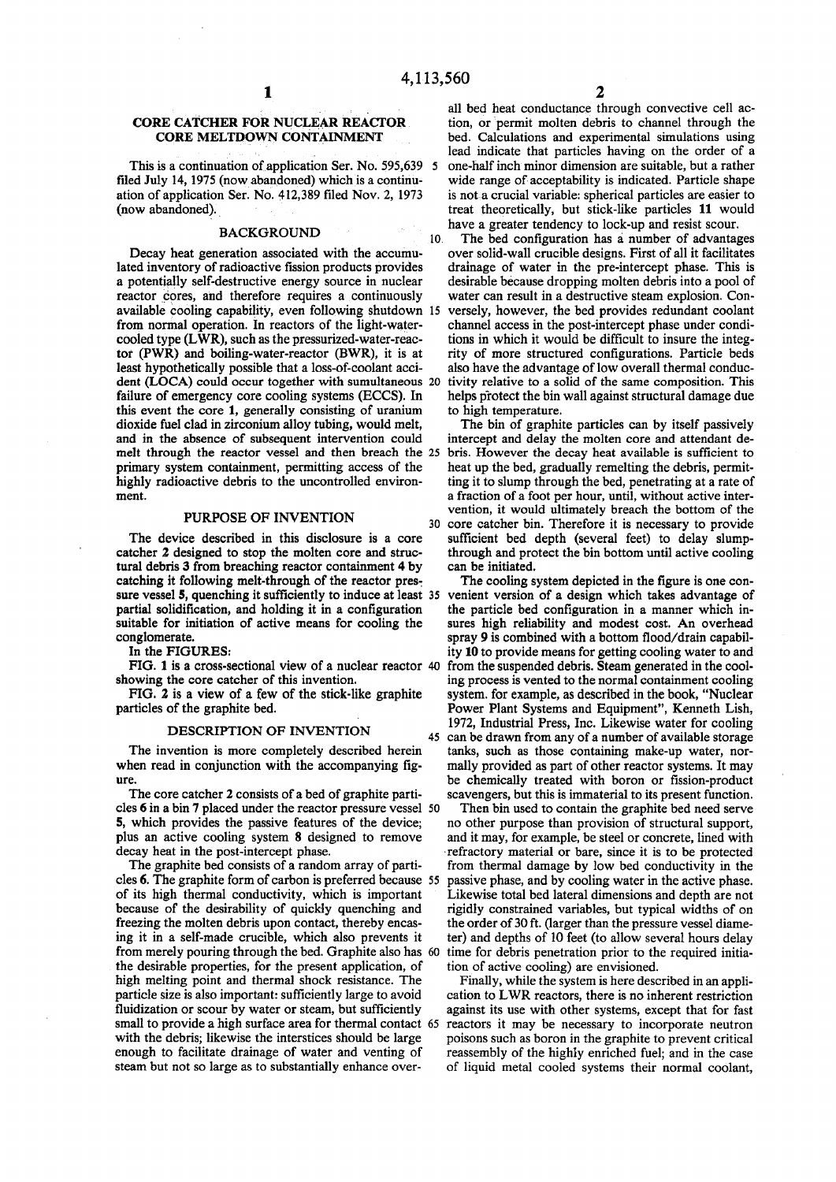### **CORE CATCHER FOR NUCLEAR REACTOR CORE MELTDOWN CONTAINMENT**

**This is a continuation of application Ser. No. 595,639** 5 **filed July 14,1975 (now abandoned) which is a continuation of application Ser. No. 412,389 filed Nov. 2, 1973 (now abandoned).** 

#### **BACKGROUND**

Decay heat generation associated with the accumulated inventory of radioactive fission products provides a potentially self-destructive energy source in nuclear reactor cores, and therefore requires a continuously available cooling capability, even following shutdown 15 from normal operation. In reactors of the light-watercooled type (LWR), such as the pressurized-water-reactor (PWR) and boiling-water-reactor (BWR), it is at least hypothetically possible that a loss-of-coolant accident (LOCA) could occur together with sumultaneous 20 failure of emergency core cooling systems (ECCS). In this event the core 1, generally consisting of uranium dioxide fuel clad in zirconium alloy tubing, would melt, and in the absence of subsequent intervention could melt through the reactor vessel and then breach the 25 primary system containment, permitting access of the highly radioactive debris to the uncontrolled environment.

### **PURPOSE OF INVENTION**

**The device described in this disclosure is a core catcher 2 designed to stop the molten core and structural debris 3 from breaching reactor containment 4 by catching it following melt-through of the reactor pressure vessel 5, quenching it sufficiently to induce at least 35 partial solidification, and holding it in a configuration suitable for initiation of active means for cooling the conglomerate.** 

**In the FIGURES:** 

**showing the core catcher of this invention.** 

**FIG. 2 is a view of a few of the stick-like graphite particles of the graphite bed.** 

#### **DESCRIPTION OF INVENTION**

**The invention is more completely described herein when read in conjunction with the accompanying figure.** 

The core catcher **2** consists of a bed of graphite particles **6** in a bin **7** placed under the reactor pressure vessel 50 **5,** which provides the passive features of the device; plus an active cooling system 8 designed to remove decay heat in the post-intercept phase.

The graphite bed consists of a random array of particles 6. The graphite form of carbon is preferred because 55 of its high thermal conductivity, which is important because of the desirability of quickly quenching and freezing the molten debris upon contact, thereby encasing it in a self-made crucible, which also prevents it from merely pouring through the bed. Graphite also has 60 the desirable properties, for the present application, of high melting point and thermal shock resistance. The particle size is also important: sufficiently large to avoid fluidization or scour by water or steam, but sufficiently small to provide a high surface area for thermal contact 65 with the debris; likewise the interstices should be large enough to facilitate drainage of water and venting of steam but not so large as to substantially enhance over-

**all bed heat conductance through convective cell action, or permit molten debris to channel through the bed. Calculations and experimental simulations using lead indicate that particles having on the order of a one-half inch minor dimension are suitable, but a rather wide range of acceptability is indicated. Particle shape is not a crucial variable: spherical particles are easier to treat theoretically, but stick-like particles 11 would have a greater tendency to lock-up and resist scour.** 

10 **The bed configuration has a number of advantages over solid-wall crucible designs. First of all it facilitates drainage of water in the pre-intercept phase. This is desirable because dropping molten debris into a pool of water can result in a destructive steam explosion. Conversely, however, the bed provides redundant coolant channel access in the post-intercept phase under conditions in which it would be difficult to insure the integrity of more structured configurations. Particle beds also have the advantage of low overall thermal conductivity relative to a solid of the same composition. This helps protect the bin wall against structural damage due to high temperature.** 

30 **core catcher bin. Therefore it is necessary to provide The bin of graphite particles can by itself passively intercept and delay the molten core and attendant debris. However the decay heat available is sufficient to heat up the bed, gradually remelting the debris, permitting it to slump through the bed, penetrating at a rate of a fraction of a foot per hour, until, without active intervention, it would ultimately breach the bottom of the sufficient bed depth (several feet) to delay slumpthrough and protect the bin bottom until active cooling can be initiated.** 

**FIG. 1 is a cross-sectional view of a nuclear reactor 40 from the suspended debris. Steam generated in the cool-**45 **The cooling system depicted in the figure is one convenient version of a design which takes advantage of the particle bed configuration in a manner which insures high reliability and modest cost. An overhead spray 9 is combined with a bottom flood/drain capability 10 to provide means for getting cooling water to and ing process is vented to the normal containment cooling system, for example, as described in the book, "Nuclear Power Plant Systems and Equipment", Kenneth Lish, 1972, Industrial Press, Inc. Likewise water for cooling can be drawn from any of a number of available storage tanks, such as those containing make-up water, normally provided as part of other reactor systems. It may be chemically treated with boron or fission-product scavengers, but this is immaterial to its present function.** 

**Then bin used to contain the graphite bed need serve no other purpose than provision of structural support, and it may, for example, be steel or concrete, lined with refractory material or bare, since it is to be protected from thermal damage by low bed conductivity in the passive phase, and by cooling water in the active phase. Likewise total bed lateral dimensions and depth are not rigidly constrained variables, but typical widths of on the order of 30 ft. (larger than the pressure vessel diameter) and depths of 10 feet (to allow several hours delay time for debris penetration prior to the required initiation of active cooling) are envisioned.** 

**Finally, while the system is here described in an application to LWR reactors, there is no inherent restriction against its use with other systems, except that for fast reactors it may be necessary to incorporate neutron poisons such as boron in the graphite to prevent critical reassembly of the highly enriched fuel; and in the case of liquid metal cooled systems their normal coolant,**